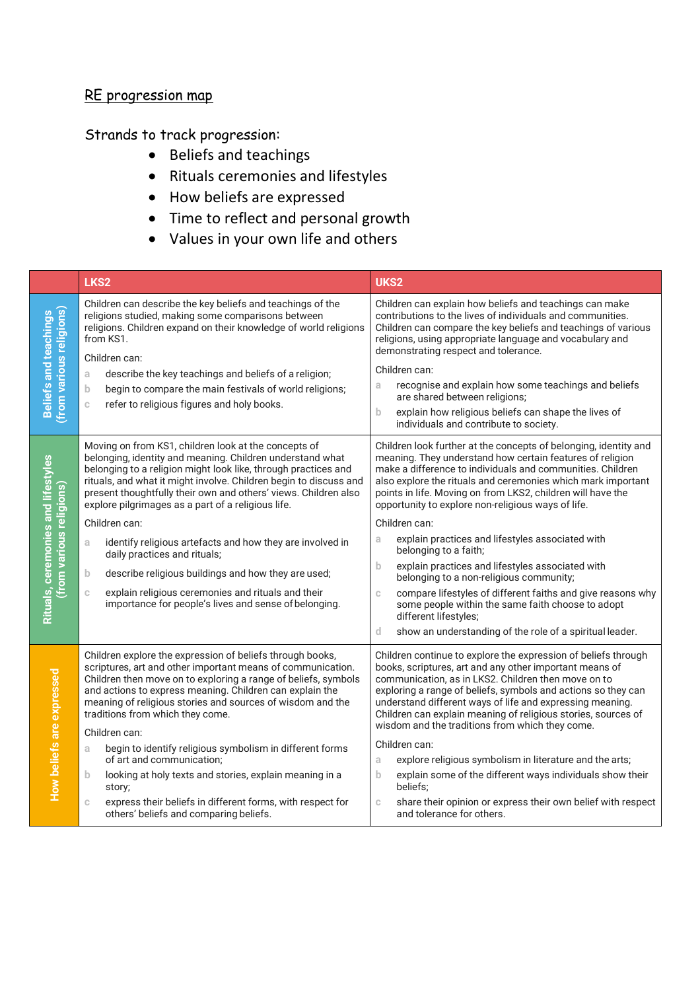## RE progression map

## Strands to track progression:

- Beliefs and teachings
- Rituals ceremonies and lifestyles
- How beliefs are expressed
- Time to reflect and personal growth
- Values in your own life and others

|                                                                | LKS <sub>2</sub>                                                                                                                                                                                                                                                                                                                                                                                                                                                                                                                                                                                                                                                                                | UKS2                                                                                                                                                                                                                                                                                                                                                                                                                                                                                                                                                                                                                                                                                                                                                                                                       |
|----------------------------------------------------------------|-------------------------------------------------------------------------------------------------------------------------------------------------------------------------------------------------------------------------------------------------------------------------------------------------------------------------------------------------------------------------------------------------------------------------------------------------------------------------------------------------------------------------------------------------------------------------------------------------------------------------------------------------------------------------------------------------|------------------------------------------------------------------------------------------------------------------------------------------------------------------------------------------------------------------------------------------------------------------------------------------------------------------------------------------------------------------------------------------------------------------------------------------------------------------------------------------------------------------------------------------------------------------------------------------------------------------------------------------------------------------------------------------------------------------------------------------------------------------------------------------------------------|
| <b>Beliefs and teachings</b><br>(from various religions)       | Children can describe the key beliefs and teachings of the<br>religions studied, making some comparisons between<br>religions. Children expand on their knowledge of world religions<br>from KS1.<br>Children can:<br>describe the key teachings and beliefs of a religion;<br>a<br>begin to compare the main festivals of world religions;<br>$\mathbf b$<br>refer to religious figures and holy books.<br>$\mathbb C$                                                                                                                                                                                                                                                                         | Children can explain how beliefs and teachings can make<br>contributions to the lives of individuals and communities.<br>Children can compare the key beliefs and teachings of various<br>religions, using appropriate language and vocabulary and<br>demonstrating respect and tolerance.<br>Children can:<br>recognise and explain how some teachings and beliefs<br>a<br>are shared between religions;<br>explain how religious beliefs can shape the lives of<br>b.<br>individuals and contribute to society.                                                                                                                                                                                                                                                                                          |
| Rituals, ceremonies and lifestyles<br>(from various religions) | Moving on from KS1, children look at the concepts of<br>belonging, identity and meaning. Children understand what<br>belonging to a religion might look like, through practices and<br>rituals, and what it might involve. Children begin to discuss and<br>present thoughtfully their own and others' views. Children also<br>explore pilgrimages as a part of a religious life.<br>Children can:<br>identify religious artefacts and how they are involved in<br>a<br>daily practices and rituals;<br>describe religious buildings and how they are used;<br>b.<br>explain religious ceremonies and rituals and their<br>$\mathbb C$<br>importance for people's lives and sense of belonging. | Children look further at the concepts of belonging, identity and<br>meaning. They understand how certain features of religion<br>make a difference to individuals and communities. Children<br>also explore the rituals and ceremonies which mark important<br>points in life. Moving on from LKS2, children will have the<br>opportunity to explore non-religious ways of life.<br>Children can:<br>explain practices and lifestyles associated with<br>a<br>belonging to a faith;<br>explain practices and lifestyles associated with<br>b<br>belonging to a non-religious community;<br>compare lifestyles of different faiths and give reasons why<br>C<br>some people within the same faith choose to adopt<br>different lifestyles;<br>d<br>show an understanding of the role of a spiritual leader. |
| How beliefs are expressed                                      | Children explore the expression of beliefs through books,<br>scriptures, art and other important means of communication.<br>Children then move on to exploring a range of beliefs, symbols<br>and actions to express meaning. Children can explain the<br>meaning of religious stories and sources of wisdom and the<br>traditions from which they come.<br>Children can:<br>begin to identify religious symbolism in different forms<br>a<br>of art and communication;<br>looking at holy texts and stories, explain meaning in a<br>b<br>story;<br>express their beliefs in different forms, with respect for<br>C<br>others' beliefs and comparing beliefs.                                  | Children continue to explore the expression of beliefs through<br>books, scriptures, art and any other important means of<br>communication, as in LKS2. Children then move on to<br>exploring a range of beliefs, symbols and actions so they can<br>understand different ways of life and expressing meaning.<br>Children can explain meaning of religious stories, sources of<br>wisdom and the traditions from which they come.<br>Children can:<br>explore religious symbolism in literature and the arts;<br>a<br>explain some of the different ways individuals show their<br>b<br>beliefs:<br>share their opinion or express their own belief with respect<br>C<br>and tolerance for others.                                                                                                        |